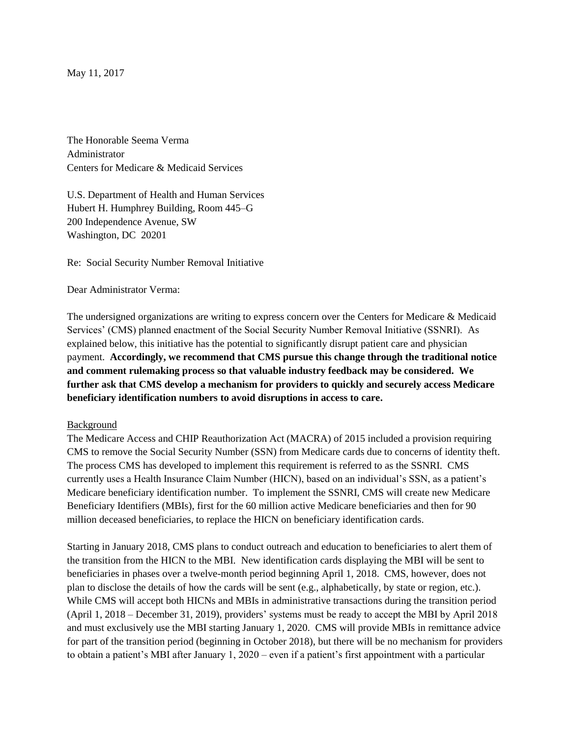May 11, 2017

The Honorable Seema Verma Administrator Centers for Medicare & Medicaid Services

U.S. Department of Health and Human Services Hubert H. Humphrey Building, Room 445–G 200 Independence Avenue, SW Washington, DC 20201

Re: Social Security Number Removal Initiative

Dear Administrator Verma:

The undersigned organizations are writing to express concern over the Centers for Medicare & Medicaid Services' (CMS) planned enactment of the Social Security Number Removal Initiative (SSNRI). As explained below, this initiative has the potential to significantly disrupt patient care and physician payment. **Accordingly, we recommend that CMS pursue this change through the traditional notice and comment rulemaking process so that valuable industry feedback may be considered. We further ask that CMS develop a mechanism for providers to quickly and securely access Medicare beneficiary identification numbers to avoid disruptions in access to care.**

## Background

The Medicare Access and CHIP Reauthorization Act (MACRA) of 2015 included a provision requiring CMS to remove the Social Security Number (SSN) from Medicare cards due to concerns of identity theft. The process CMS has developed to implement this requirement is referred to as the SSNRI. CMS currently uses a Health Insurance Claim Number (HICN), based on an individual's SSN, as a patient's Medicare beneficiary identification number. To implement the SSNRI, CMS will create new Medicare Beneficiary Identifiers (MBIs), first for the 60 million active Medicare beneficiaries and then for 90 million deceased beneficiaries, to replace the HICN on beneficiary identification cards.

Starting in January 2018, CMS plans to conduct outreach and education to beneficiaries to alert them of the transition from the HICN to the MBI. New identification cards displaying the MBI will be sent to beneficiaries in phases over a twelve-month period beginning April 1, 2018. CMS, however, does not plan to disclose the details of how the cards will be sent (e.g., alphabetically, by state or region, etc.). While CMS will accept both HICNs and MBIs in administrative transactions during the transition period (April 1, 2018 – December 31, 2019), providers' systems must be ready to accept the MBI by April 2018 and must exclusively use the MBI starting January 1, 2020. CMS will provide MBIs in remittance advice for part of the transition period (beginning in October 2018), but there will be no mechanism for providers to obtain a patient's MBI after January 1, 2020 – even if a patient's first appointment with a particular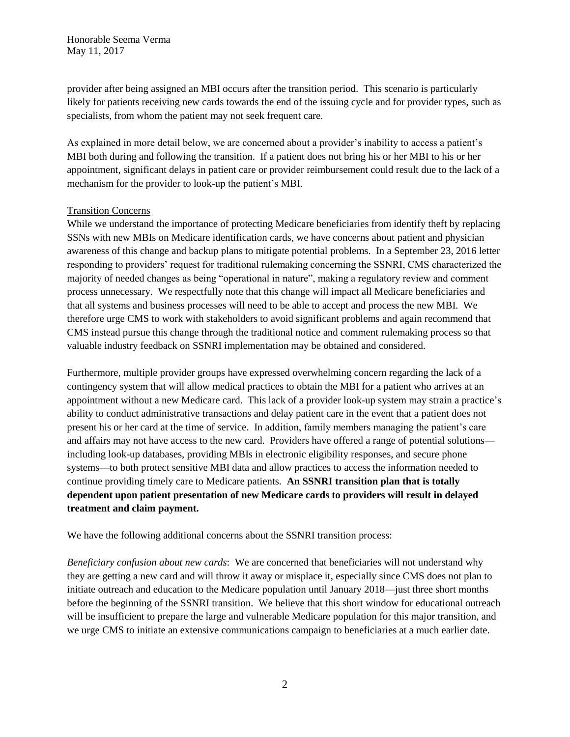provider after being assigned an MBI occurs after the transition period. This scenario is particularly likely for patients receiving new cards towards the end of the issuing cycle and for provider types, such as specialists, from whom the patient may not seek frequent care.

As explained in more detail below, we are concerned about a provider's inability to access a patient's MBI both during and following the transition. If a patient does not bring his or her MBI to his or her appointment, significant delays in patient care or provider reimbursement could result due to the lack of a mechanism for the provider to look-up the patient's MBI.

## Transition Concerns

While we understand the importance of protecting Medicare beneficiaries from identify theft by replacing SSNs with new MBIs on Medicare identification cards, we have concerns about patient and physician awareness of this change and backup plans to mitigate potential problems. In a September 23, 2016 letter responding to providers' request for traditional rulemaking concerning the SSNRI, CMS characterized the majority of needed changes as being "operational in nature", making a regulatory review and comment process unnecessary. We respectfully note that this change will impact all Medicare beneficiaries and that all systems and business processes will need to be able to accept and process the new MBI. We therefore urge CMS to work with stakeholders to avoid significant problems and again recommend that CMS instead pursue this change through the traditional notice and comment rulemaking process so that valuable industry feedback on SSNRI implementation may be obtained and considered.

Furthermore, multiple provider groups have expressed overwhelming concern regarding the lack of a contingency system that will allow medical practices to obtain the MBI for a patient who arrives at an appointment without a new Medicare card. This lack of a provider look-up system may strain a practice's ability to conduct administrative transactions and delay patient care in the event that a patient does not present his or her card at the time of service. In addition, family members managing the patient's care and affairs may not have access to the new card. Providers have offered a range of potential solutions including look-up databases, providing MBIs in electronic eligibility responses, and secure phone systems—to both protect sensitive MBI data and allow practices to access the information needed to continue providing timely care to Medicare patients. **An SSNRI transition plan that is totally dependent upon patient presentation of new Medicare cards to providers will result in delayed treatment and claim payment.**

We have the following additional concerns about the SSNRI transition process:

*Beneficiary confusion about new cards*: We are concerned that beneficiaries will not understand why they are getting a new card and will throw it away or misplace it, especially since CMS does not plan to initiate outreach and education to the Medicare population until January 2018—just three short months before the beginning of the SSNRI transition. We believe that this short window for educational outreach will be insufficient to prepare the large and vulnerable Medicare population for this major transition, and we urge CMS to initiate an extensive communications campaign to beneficiaries at a much earlier date.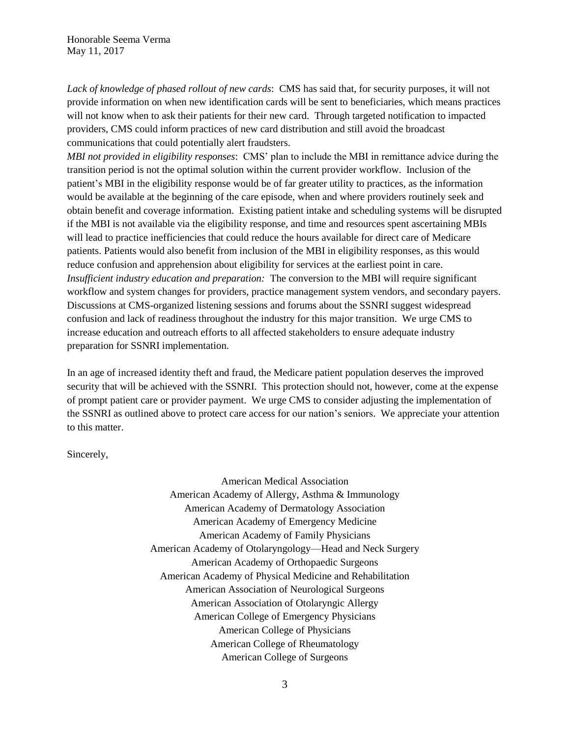*Lack of knowledge of phased rollout of new cards*: CMS has said that, for security purposes, it will not provide information on when new identification cards will be sent to beneficiaries, which means practices will not know when to ask their patients for their new card. Through targeted notification to impacted providers, CMS could inform practices of new card distribution and still avoid the broadcast communications that could potentially alert fraudsters.

*MBI not provided in eligibility responses*: CMS' plan to include the MBI in remittance advice during the transition period is not the optimal solution within the current provider workflow. Inclusion of the patient's MBI in the eligibility response would be of far greater utility to practices, as the information would be available at the beginning of the care episode, when and where providers routinely seek and obtain benefit and coverage information. Existing patient intake and scheduling systems will be disrupted if the MBI is not available via the eligibility response, and time and resources spent ascertaining MBIs will lead to practice inefficiencies that could reduce the hours available for direct care of Medicare patients. Patients would also benefit from inclusion of the MBI in eligibility responses, as this would reduce confusion and apprehension about eligibility for services at the earliest point in care. *Insufficient industry education and preparation:* The conversion to the MBI will require significant workflow and system changes for providers, practice management system vendors, and secondary payers. Discussions at CMS-organized listening sessions and forums about the SSNRI suggest widespread confusion and lack of readiness throughout the industry for this major transition. We urge CMS to increase education and outreach efforts to all affected stakeholders to ensure adequate industry preparation for SSNRI implementation.

In an age of increased identity theft and fraud, the Medicare patient population deserves the improved security that will be achieved with the SSNRI. This protection should not, however, come at the expense of prompt patient care or provider payment. We urge CMS to consider adjusting the implementation of the SSNRI as outlined above to protect care access for our nation's seniors. We appreciate your attention to this matter.

Sincerely,

American Medical Association American Academy of Allergy, Asthma & Immunology American Academy of Dermatology Association American Academy of Emergency Medicine American Academy of Family Physicians American Academy of Otolaryngology—Head and Neck Surgery American Academy of Orthopaedic Surgeons American Academy of Physical Medicine and Rehabilitation American Association of Neurological Surgeons American Association of Otolaryngic Allergy American College of Emergency Physicians American College of Physicians American College of Rheumatology American College of Surgeons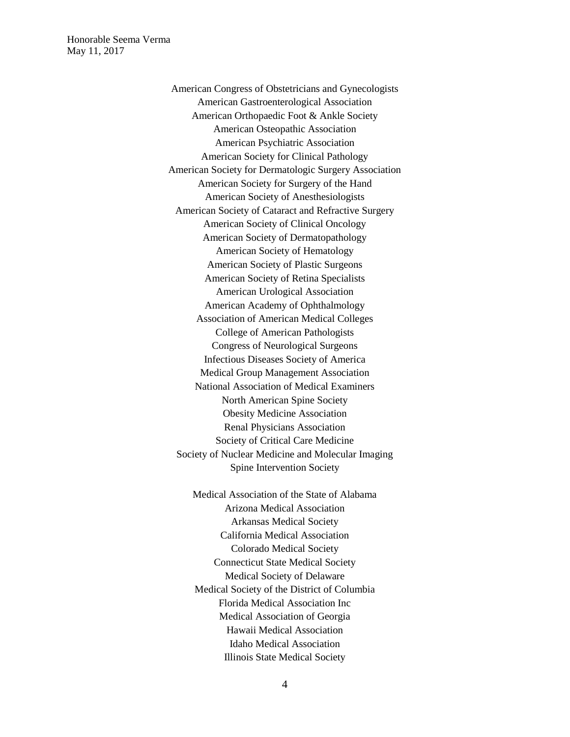> American Congress of Obstetricians and Gynecologists American Gastroenterological Association American Orthopaedic Foot & Ankle Society American Osteopathic Association American Psychiatric Association American Society for Clinical Pathology American Society for Dermatologic Surgery Association American Society for Surgery of the Hand American Society of Anesthesiologists American Society of Cataract and Refractive Surgery American Society of Clinical Oncology American Society of Dermatopathology American Society of Hematology American Society of Plastic Surgeons American Society of Retina Specialists American Urological Association American Academy of Ophthalmology Association of American Medical Colleges College of American Pathologists Congress of Neurological Surgeons Infectious Diseases Society of America Medical Group Management Association National Association of Medical Examiners North American Spine Society Obesity Medicine Association Renal Physicians Association Society of Critical Care Medicine Society of Nuclear Medicine and Molecular Imaging Spine Intervention Society

> > Medical Association of the State of Alabama Arizona Medical Association Arkansas Medical Society California Medical Association Colorado Medical Society Connecticut State Medical Society Medical Society of Delaware Medical Society of the District of Columbia Florida Medical Association Inc Medical Association of Georgia Hawaii Medical Association Idaho Medical Association Illinois State Medical Society

> > > 4